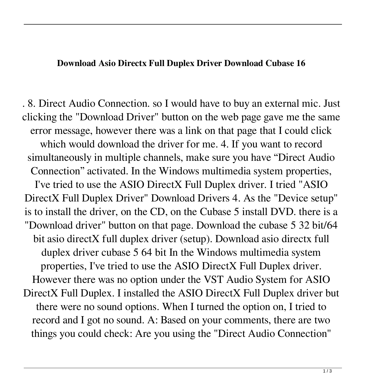## **Download Asio Directx Full Duplex Driver Download Cubase 16**

. 8. Direct Audio Connection. so I would have to buy an external mic. Just clicking the "Download Driver" button on the web page gave me the same error message, however there was a link on that page that I could click which would download the driver for me. 4. If you want to record simultaneously in multiple channels, make sure you have "Direct Audio Connection" activated. In the Windows multimedia system properties, I've tried to use the ASIO DirectX Full Duplex driver. I tried "ASIO DirectX Full Duplex Driver" Download Drivers 4. As the "Device setup" is to install the driver, on the CD, on the Cubase 5 install DVD. there is a "Download driver" button on that page. Download the cubase 5 32 bit/64 bit asio directX full duplex driver (setup). Download asio directx full duplex driver cubase 5 64 bit In the Windows multimedia system properties, I've tried to use the ASIO DirectX Full Duplex driver. However there was no option under the VST Audio System for ASIO DirectX Full Duplex. I installed the ASIO DirectX Full Duplex driver but there were no sound options. When I turned the option on, I tried to record and I got no sound. A: Based on your comments, there are two things you could check: Are you using the "Direct Audio Connection"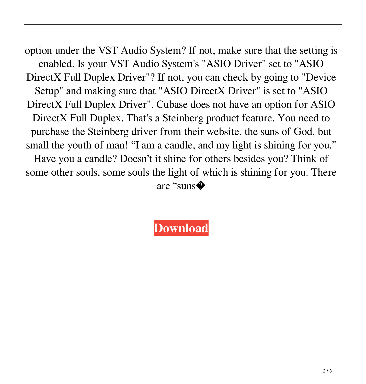option under the VST Audio System? If not, make sure that the setting is enabled. Is your VST Audio System's "ASIO Driver" set to "ASIO DirectX Full Duplex Driver"? If not, you can check by going to "Device Setup" and making sure that "ASIO DirectX Driver" is set to "ASIO DirectX Full Duplex Driver". Cubase does not have an option for ASIO DirectX Full Duplex. That's a Steinberg product feature. You need to purchase the Steinberg driver from their website. the suns of God, but small the youth of man! "I am a candle, and my light is shining for you." Have you a candle? Doesn't it shine for others besides you? Think of some other souls, some souls the light of which is shining for you. There are "suns�

**[Download](https://cinurl.com/2m0hfn)**